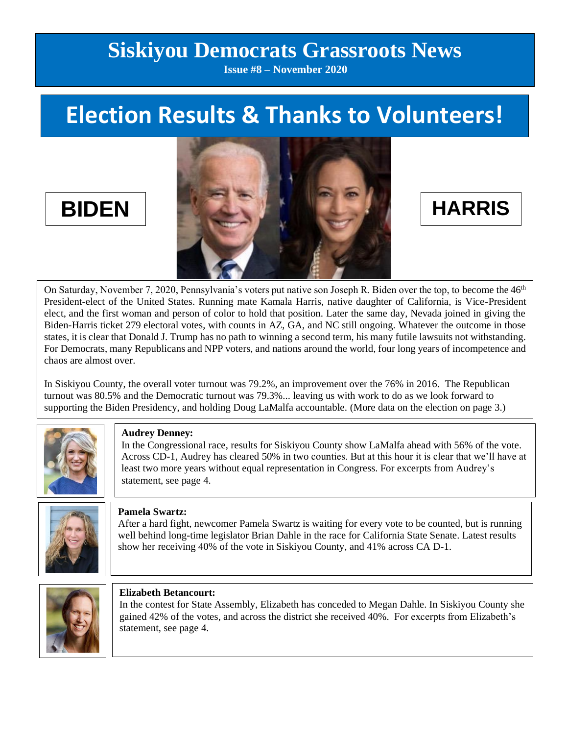# **Siskiyou Democrats Grassroots News**

**Issue #8 – November 2020**

# **Election Results & Thanks to Volunteers!**



On Saturday, November 7, 2020, Pennsylvania's voters put native son Joseph R. Biden over the top, to become the 46<sup>th</sup> President-elect of the United States. Running mate Kamala Harris, native daughter of California, is Vice-President elect, and the first woman and person of color to hold that position. Later the same day, Nevada joined in giving the Biden-Harris ticket 279 electoral votes, with counts in AZ, GA, and NC still ongoing. Whatever the outcome in those states, it is clear that Donald J. Trump has no path to winning a second term, his many futile lawsuits not withstanding. For Democrats, many Republicans and NPP voters, and nations around the world, four long years of incompetence and chaos are almost over.

In Siskiyou County, the overall voter turnout was 79.2%, an improvement over the 76% in 2016. The Republican turnout was 80.5% and the Democratic turnout was 79.3%... leaving us with work to do as we look forward to supporting the Biden Presidency, and holding Doug LaMalfa accountable. (More data on the election on page 3.)



### **Audrey Denney:**

In the Congressional race, results for Siskiyou County show LaMalfa ahead with 56% of the vote. Across CD-1, Audrey has cleared 50% in two counties. But at this hour it is clear that we'll have at least two more years without equal representation in Congress. For excerpts from Audrey's statement, see page 4.



### **Pamela Swartz:**

After a hard fight, newcomer Pamela Swartz is waiting for every vote to be counted, but is running well behind long-time legislator Brian Dahle in the race for California State Senate. Latest results show her receiving 40% of the vote in Siskiyou County, and 41% across CA D-1.



### **Elizabeth Betancourt:**

In the contest for State Assembly, Elizabeth has conceded to Megan Dahle. In Siskiyou County she gained 42% of the votes, and across the district she received 40%. For excerpts from Elizabeth's statement, see page 4.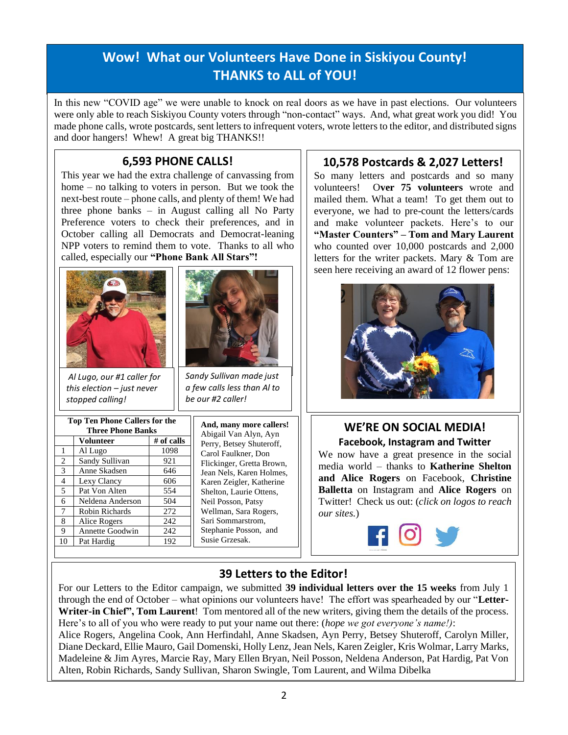# **Wow! What our Volunteers Have Done in Siskiyou County! THANKS to ALL of YOU!**

In this new "COVID age" we were unable to knock on real doors as we have in past elections. Our volunteers were only able to reach Siskiyou County voters through "non-contact" ways. And, what great work you did! You made phone calls, wrote postcards, sent letters to infrequent voters, wrote letters to the editor, and distributed signs and door hangers! Whew! A great big THANKS!!

### **6,593 PHONE CALLS!**

This year we had the extra challenge of canvassing from home – no talking to voters in person. But we took the next-best route – phone calls, and plenty of them! We had three phone banks – in August calling all No Party Preference voters to check their preferences, and in October calling all Democrats and Democrat-leaning NPP voters to remind them to vote. Thanks to all who called, especially our **"Phone Bank All Stars"!**





*Al Lugo, our #1 caller for this election – just never stopped calling!*

| <b>Top Ten Phone Callers for the</b><br><b>Three Phone Banks</b> |                  |            | And<br>Abiş |
|------------------------------------------------------------------|------------------|------------|-------------|
|                                                                  | <b>Volunteer</b> | # of calls | Perr        |
| -1                                                               | Al Lugo          | 1098       | Carc        |
| 2                                                                | Sandy Sullivan   | 921        | Flich       |
| 3                                                                | Anne Skadsen     | 646        | Jean        |
| $\overline{4}$                                                   | Lexy Clancy      | 606        | Kare        |
| 5                                                                | Pat Von Alten    | 554        | Shel        |
| 6                                                                | Neldena Anderson | 504        | Neil        |
| $\overline{7}$                                                   | Robin Richards   | 272        | Wel         |
| 8                                                                | Alice Rogers     | 242        | Sari        |
| 9                                                                | Annette Goodwin  | 242        | Step        |
| 10                                                               | Pat Hardig       | 192        | Susi        |

*Sandy Sullivan made just a few calls less than Al to be our #2 caller!*

> **And, many more callers!**  gail Van Alyn, Ayn y, Betsey Shuteroff, ol Faulkner, Don kinger, Gretta Brown, Nels, Karen Holmes, en Zeigler, Katherine Iton, Laurie Ottens, Posson, Patsy lman, Sara Rogers, Sommarstrom, hanie Posson, and e Grzesak.

### **10,578 Postcards & 2,027 Letters!**

So many letters and postcards and so many volunteers! O**ver 75 volunteers** wrote and mailed them. What a team! To get them out to everyone, we had to pre-count the letters/cards and make volunteer packets. Here's to our **"Master Counters" – Tom and Mary Laurent**  who counted over 10,000 postcards and 2,000 letters for the writer packets. Mary & Tom are seen here receiving an award of 12 flower pens:



### **WE'RE ON SOCIAL MEDIA! Facebook, Instagram and Twitter**

We now have a great presence in the social media world – thanks to **Katherine Shelton and Alice Rogers** on Facebook, **Christine Balletta** on Instagram and **Alice Rogers** on Twitter! Check us out: (*click on logos to reach our sites.*)

# **39 Letters to the Editor!**

For our Letters to the Editor campaign, we submitted **39 individual letters over the 15 weeks** from July 1 through the end of October – what opinions our volunteers have! The effort was spearheaded by our "**Letter-Writer-in Chief", Tom Laurent**! Tom mentored all of the new writers, giving them the details of the process. Here's to all of you who were ready to put your name out there: (*hope we got everyone's name!)*: Alice Rogers, Angelina Cook, Ann Herfindahl, Anne Skadsen, Ayn Perry, Betsey Shuteroff, Carolyn Miller, Diane Deckard, Ellie Mauro, Gail Domenski, Holly Lenz, Jean Nels, Karen Zeigler, Kris Wolmar, Larry Marks, Madeleine & Jim Ayres, Marcie Ray, Mary Ellen Bryan, Neil Posson, Neldena Anderson, Pat Hardig, Pat Von Alten, Robin Richards, Sandy Sullivan, Sharon Swingle, Tom Laurent, and Wilma Dibelka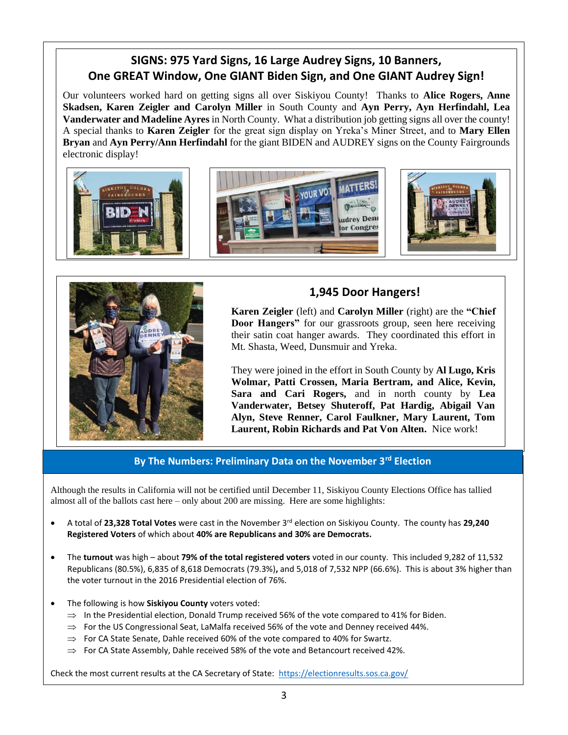### **SIGNS: 975 Yard Signs, 16 Large Audrey Signs, 10 Banners, One GREAT Window, One GIANT Biden Sign, and One GIANT Audrey Sign!**

Our volunteers worked hard on getting signs all over Siskiyou County! Thanks to **Alice Rogers, Anne Skadsen, Karen Zeigler and Carolyn Miller** in South County and **Ayn Perry, Ayn Herfindahl, Lea Vanderwater and Madeline Ayres** in North County. What a distribution job getting signs all over the county! A special thanks to **Karen Zeigler** for the great sign display on Yreka's Miner Street, and to **Mary Ellen Bryan** and **Ayn Perry/Ann Herfindahl** for the giant BIDEN and AUDREY signs on the County Fairgrounds electronic display!





### **1,945 Door Hangers!**

**Karen Zeigler** (left) and **Carolyn Miller** (right) are the **"Chief Door Hangers"** for our grassroots group, seen here receiving their satin coat hanger awards. They coordinated this effort in Mt. Shasta, Weed, Dunsmuir and Yreka.

They were joined in the effort in South County by **Al Lugo, Kris Wolmar, Patti Crossen, Maria Bertram, and Alice, Kevin, Sara and Cari Rogers,** and in north county by **Lea Vanderwater, Betsey Shuteroff, Pat Hardig, Abigail Van Alyn, Steve Renner, Carol Faulkner, Mary Laurent, Tom Laurent, Robin Richards and Pat Von Alten.** Nice work!

**By The Numbers: Preliminary Data on the November 3rd Election**

Although the results in California will not be certified until December 11, Siskiyou County Elections Office has tallied almost all of the ballots cast here – only about 200 are missing. Here are some highlights:

- A total of **23,328 Total Votes** were cast in the November 3rd election on Siskiyou County. The county has **29,240 Registered Voters** of which about **40% are Republicans and 30% are Democrats.**
- The **turnout** was high about **79% of the total registered voters** voted in our county. This included 9,282 of 11,532 Republicans (80.5%), 6,835 of 8,618 Democrats (79.3%)**,** and 5,018 of 7,532 NPP (66.6%). This is about 3% higher than the voter turnout in the 2016 Presidential election of 76%.
- The following is how **Siskiyou County** voters voted:
	- $\Rightarrow$  In the Presidential election, Donald Trump received 56% of the vote compared to 41% for Biden.
	- $\Rightarrow$  For the US Congressional Seat, LaMalfa received 56% of the vote and Denney received 44%.
	- $\Rightarrow$  For CA State Senate, Dahle received 60% of the vote compared to 40% for Swartz.
	- $\Rightarrow$  For CA State Assembly, Dahle received 58% of the vote and Betancourt received 42%.

Check the most current results at the CA Secretary of State:<https://electionresults.sos.ca.gov/>